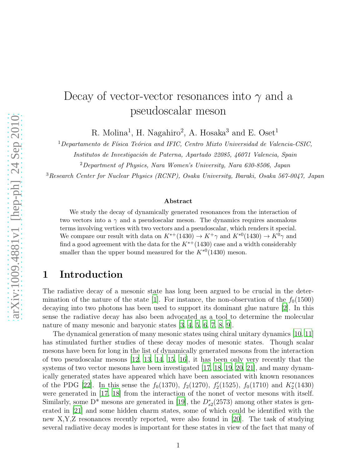# Decay of vector-vector resonances into  $\gamma$  and a pseudoscalar meson

R. Molina<sup>1</sup>, H. Nagahiro<sup>2</sup>, A. Hosaka<sup>3</sup> and E. Oset<sup>1</sup>

 $1$ Departamento de Física Teórica and IFIC, Centro Mixto Universidad de Valencia-CSIC,

Institutos de Investigación de Paterna, Apartado 22085, 46071 Valencia, Spain

<sup>2</sup>Department of Physics, Nara Women's University, Nara 630-8506, Japan

<sup>3</sup>Research Center for Nuclear Physics (RCNP), Osaka University, Ibaraki, Osaka 567-0047, Japan

#### Abstract

We study the decay of dynamically generated resonances from the interaction of two vectors into a  $\gamma$  and a pseudoscalar meson. The dynamics requires anomalous terms involving vertices with two vectors and a pseudoscalar, which renders it special. We compare our result with data on  $K^{*+}(1430) \rightarrow K^{+}\gamma$  and  $K^{*0}(1430) \rightarrow K^{0}\gamma$  and find a good agreement with the data for the  $K^{*+}(1430)$  case and a width considerably smaller than the upper bound measured for the  $K^{*0}(1430)$  meson.

#### 1 Introduction

The radiative decay of a mesonic state has long been argued to be crucial in the deter-mination of the nature of the state [\[1](#page-18-0)]. For instance, the non-observation of the  $f_0(1500)$ decaying into two photons has been used to support its dominant glue nature [\[2](#page-18-1)]. In this sense the radiative decay has also been advocated as a tool to determine the molecular nature of many mesonic and baryonic states [\[3](#page-18-2), [4](#page-19-0), [5](#page-19-1), [6](#page-19-2), [7](#page-19-3), [8](#page-19-4), [9](#page-19-5)].

The dynamical generation of many mesonic states using chiral unitary dynamics [\[10,](#page-19-6) [11\]](#page-19-7) has stimulated further studies of these decay modes of mesonic states. Though scalar mesons have been for long in the list of dynamically generated mesons from the interaction of two pseudoscalar mesons [\[12](#page-19-8), [13](#page-19-9), [14](#page-19-10), [15](#page-19-11), [16](#page-19-12)], it has been only very recently that the systems of two vector mesons have been investigated [\[17,](#page-19-13) [18](#page-19-14), [19](#page-19-15), [20,](#page-19-16) [21](#page-19-17)], and many dynamically generated states have appeared which have been associated with known resonances of the PDG [\[22\]](#page-19-18). In this sense the  $f_0(1370)$ ,  $f_2(1270)$ ,  $f'_2(1525)$ ,  $f_0(1710)$  and  $K_2^*(1430)$ were generated in [\[17,](#page-19-13) [18](#page-19-14)] from the interaction of the nonet of vector mesons with itself. Similarly, some D<sup>\*</sup> mesons are generated in [\[19](#page-19-15)], the  $D_{s2}^*(2573)$  among other states is generated in [\[21](#page-19-17)] and some hidden charm states, some of which could be identified with the new X,Y,Z resonances recently reported, were also found in [\[20](#page-19-16)]. The task of studying several radiative decay modes is important for these states in view of the fact that many of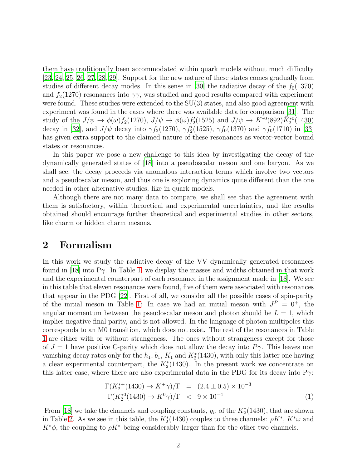them have traditionally been accommodated within quark models without much difficulty [\[23,](#page-19-19) [24](#page-19-20), [25](#page-20-0), [26,](#page-20-1) [27,](#page-20-2) [28](#page-20-3), [29](#page-20-4)]. Support for the new nature of these states comes gradually from studies of different decay modes. In this sense in [\[30\]](#page-20-5) the radiative decay of the  $f_0(1370)$ and  $f_2(1270)$  resonances into  $\gamma\gamma$ , was studied and good results compared with experiment were found. These studies were extended to the SU(3) states, and also good agreement with experiment was found in the cases where there was available data for comparison [\[31](#page-20-6)]. The study of the  $J/\psi \to \phi(\omega) f_2(1270)$ ,  $J/\psi \to \phi(\omega) f'_2(1525)$  and  $J/\psi \to K^{*0}(892) \bar{K}_2^{*0}(1430)$ decay in [\[32](#page-20-7)], and  $J/\psi$  decay into  $\gamma f_2(1270)$ ,  $\gamma f_2'(1525)$ ,  $\gamma f_0(1370)$  and  $\gamma f_0(1710)$  in [\[33\]](#page-20-8) has given extra support to the claimed nature of these resonances as vector-vector bound states or resonances.

In this paper we pose a new challenge to this idea by investigating the decay of the dynamically generated states of [\[18\]](#page-19-14) into a pseudoscalar meson and one baryon. As we shall see, the decay proceeds via anomalous interaction terms which involve two vectors and a pseudoscalar meson, and thus one is exploring dynamics quite different than the one needed in other alternative studies, like in quark models.

Although there are not many data to compare, we shall see that the agreement with them is satisfactory, within theoretical and experimental uncertainties, and the results obtained should encourage further theoretical and experimental studies in other sectors, like charm or hidden charm mesons.

### 2 Formalism

In this work we study the radiative decay of the VV dynamically generated resonances found in [\[18\]](#page-19-14) into P $\gamma$ . In Table [1,](#page-2-0) we display the masses and widths obtained in that work and the experimental counterpart of each resonance in the assignment made in [\[18](#page-19-14)]. We see in this table that eleven resonances were found, five of them were associated with resonances that appear in the PDG [\[22](#page-19-18)]. First of all, we consider all the possible cases of spin-parity of the initial meson in Table [1:](#page-2-0) In case we had an initial meson with  $J<sup>P</sup> = 0<sup>+</sup>$ , the angular momentum between the pseudoscalar meson and photon should be  $L = 1$ , which implies negative final parity, and is not allowed. In the language of photon multipoles this corresponds to an M0 transition, which does not exist. The rest of the resonances in Table [1](#page-2-0) are either with or without strangeness. The ones without strangeness except for those of  $J = 1$  have positive C-parity which does not allow the decay into  $P\gamma$ . This leaves non vanishing decay rates only for the  $h_1$ ,  $b_1$ ,  $K_1$  and  $K_2^*(1430)$ , with only this latter one having a clear experimental counterpart, the  $K_2^*(1430)$ . In the present work we concentrate on this latter case, where there are also experimental data in the PDG for its decay into  $P_{\gamma}$ :

<span id="page-1-0"></span>
$$
\Gamma(K_2^{*+}(1430) \to K^+\gamma)/\Gamma = (2.4 \pm 0.5) \times 10^{-3}
$$
  
\n
$$
\Gamma(K_2^{*0}(1430) \to K^0\gamma)/\Gamma < 9 \times 10^{-4}
$$
 (1)

From [\[18\]](#page-19-14) we take the channels and coupling constants,  $g_i$ , of the  $K_2^*(1430)$ , that are shown in Table [2.](#page-2-1) As we see in this table, the  $K_2^*(1430)$  couples to three channels:  $\rho K^*, K^* \omega$  and  $K^*\phi$ , the coupling to  $\rho K^*$  being considerably larger than for the other two channels.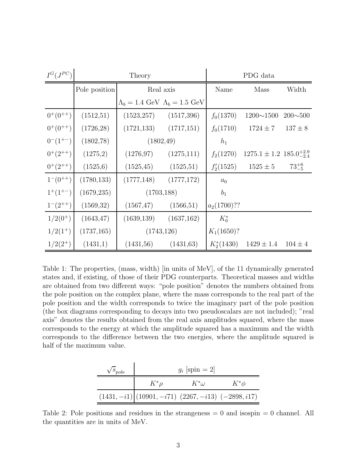| $I^G(J^{PC})$   |               | Theory                                                      |             | PDG data       |                                        |                |
|-----------------|---------------|-------------------------------------------------------------|-------------|----------------|----------------------------------------|----------------|
|                 | Pole position | Real axis                                                   |             | Name           | <b>Mass</b>                            | Width          |
|                 |               | $\Lambda_b = 1.4 \text{ GeV}$ $\Lambda_b = 1.5 \text{ GeV}$ |             |                |                                        |                |
| $0^{+}(0^{++})$ | (1512,51)     | (1523, 257)                                                 | (1517,396)  | $f_0(1370)$    | $1200 \sim 1500$                       | $200 \sim 500$ |
| $0^{+}(0^{++})$ | (1726, 28)    | (1721, 133)                                                 | (1717,151)  | $f_0(1710)$    | $1724 \pm 7$                           | $137 \pm 8$    |
| $0^{-}(1^{+-})$ | (1802,78)     | (1802, 49)                                                  |             | $h_1$          |                                        |                |
| $0^+(2^{++})$   | (1275,2)      | (1276, 97)                                                  | (1275,111)  | $f_2(1270)$    | $1275.1 \pm 1.2$ $185.0^{+2.9}_{-2.4}$ |                |
| $0^+(2^{++})$   | (1525,6)      | (1525, 45)                                                  | (1525,51)   | $f'_2(1525)$   | $1525 \pm 5$                           | $73^{+6}_{-5}$ |
| $1^-(0^{++})$   | (1780, 133)   | (1777, 148)                                                 | (1777,172)  | $a_0$          |                                        |                |
| $1^+(1^{+-})$   | (1679, 235)   | (1703, 188)                                                 |             | $b_1$          |                                        |                |
| $1^-(2^{++})$   | (1569,32)     | (1567, 47)                                                  | (1566, 51)  | $a_2(1700)$ ?? |                                        |                |
| $1/2(0^+)$      | (1643, 47)    | (1639, 139)                                                 | (1637, 162) | $K_0^*$        |                                        |                |
| $1/2(1^+)$      | (1737, 165)   | (1743, 126)                                                 |             | $K_1(1650)$ ?  |                                        |                |
| $1/2(2^+)$      | (1431,1)      | (1431,56)                                                   | (1431,63)   | $K_2^*(1430)$  | $1429 \pm 1.4$                         | $104 \pm 4$    |

<span id="page-2-0"></span>Table 1: The properties, (mass, width) [in units of MeV], of the 11 dynamically generated states and, if existing, of those of their PDG counterparts. Theoretical masses and widths are obtained from two different ways: "pole position" denotes the numbers obtained from the pole position on the complex plane, where the mass corresponds to the real part of the pole position and the width corresponds to twice the imaginary part of the pole position (the box diagrams corresponding to decays into two pseudoscalars are not included); "real axis" denotes the results obtained from the real axis amplitudes squared, where the mass corresponds to the energy at which the amplitude squared has a maximum and the width corresponds to the difference between the two energies, where the amplitude squared is half of the maximum value.

| $\sqrt{s_{\rm pole}}$ |                                                         | $g_i$ [spin = 2] |           |
|-----------------------|---------------------------------------------------------|------------------|-----------|
|                       | $K^*\rho$                                               | $K^*\omega$      | $K^*\phi$ |
|                       | $(1431, -i1)   (10901, -i71) (2267, -i13) (-2898, i17)$ |                  |           |

<span id="page-2-1"></span>Table 2: Pole positions and residues in the strangeness  $= 0$  and isospin  $= 0$  channel. All the quantities are in units of MeV.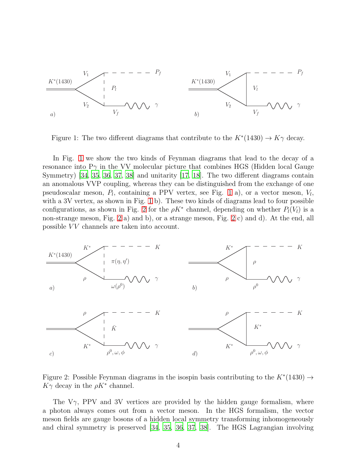

<span id="page-3-0"></span>Figure 1: The two different diagrams that contribute to the  $K^*(1430) \to K\gamma$  decay.

In Fig. [1](#page-3-0) we show the two kinds of Feynman diagrams that lead to the decay of a resonance into  $P\gamma$  in the VV molecular picture that combines HGS (Hidden local Gauge Symmetry) [\[34](#page-20-9), [35](#page-20-10), [36,](#page-20-11) [37,](#page-20-12) [38\]](#page-20-13) and unitarity [\[17,](#page-19-13) [18](#page-19-14)]. The two different diagrams contain an anomalous VVP coupling, whereas they can be distinguished from the exchange of one pseudoscalar meson,  $P_l$ , containing a PPV vertex, see Fig. [1](#page-3-0) a), or a vector meson,  $V_l$ , with a 3V vertex, as shown in Fig. [1](#page-3-0) b). These two kinds of diagrams lead to four possible configurations, as shown in Fig. [2](#page-3-1) for the  $\rho K^*$  channel, depending on whether  $P_l(V_l)$  is a non-strange meson, Fig. [2](#page-3-1) a) and b), or a strange meson, Fig. [2](#page-3-1) c) and d). At the end, all possible VV channels are taken into account.



<span id="page-3-1"></span>Figure 2: Possible Feynman diagrams in the isospin basis contributing to the  $K^*(1430) \rightarrow$  $K\gamma$  decay in the  $\rho K^*$  channel.

The  $V_{\gamma}$ , PPV and 3V vertices are provided by the hidden gauge formalism, where a photon always comes out from a vector meson. In the HGS formalism, the vector meson fields are gauge bosons of a hidden local symmetry transforming inhomogeneously and chiral symmetry is preserved [\[34,](#page-20-9) [35,](#page-20-10) [36](#page-20-11), [37,](#page-20-12) [38\]](#page-20-13). The HGS Lagrangian involving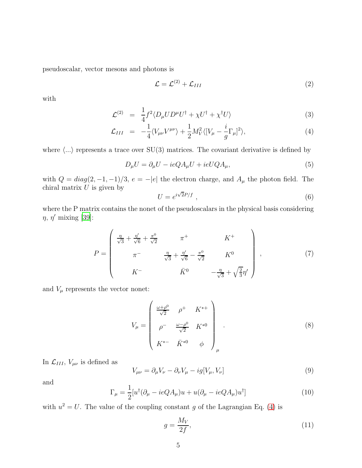pseudoscalar, vector mesons and photons is

$$
\mathcal{L} = \mathcal{L}^{(2)} + \mathcal{L}_{III} \tag{2}
$$

with

<span id="page-4-0"></span>
$$
\mathcal{L}^{(2)} = \frac{1}{4} f^2 \langle D_\mu U D^\mu U^\dagger + \chi U^\dagger + \chi^\dagger U \rangle \tag{3}
$$

$$
\mathcal{L}_{III} = -\frac{1}{4} \langle V_{\mu\nu} V^{\mu\nu} \rangle + \frac{1}{2} M_V^2 \langle [V_{\mu} - \frac{i}{g} \Gamma_{\mu}]^2 \rangle, \tag{4}
$$

where  $\langle ... \rangle$  represents a trace over SU(3) matrices. The covariant derivative is defined by

$$
D_{\mu}U = \partial_{\mu}U - ieQA_{\mu}U + ieUQA_{\mu}, \qquad (5)
$$

with  $Q = diag(2, -1, -1)/3$ ,  $e = -|e|$  the electron charge, and  $A_{\mu}$  the photon field. The chiral matrix  $U$  is given by

$$
U = e^{i\sqrt{2}P/f} \t{6}
$$

where the P matrix contains the nonet of the pseudoscalars in the physical basis considering  $\eta$ ,  $\eta'$  mixing [\[39\]](#page-20-14):

$$
P = \begin{pmatrix} \frac{\eta}{\sqrt{3}} + \frac{\eta'}{\sqrt{6}} + \frac{\pi^{0}}{\sqrt{2}} & \pi^{+} & K^{+} \\ \pi^{-} & \frac{\eta}{\sqrt{3}} + \frac{\eta'}{\sqrt{6}} - \frac{\pi^{0}}{\sqrt{2}} & K^{0} \\ K^{-} & \bar{K}^{0} & -\frac{\eta}{\sqrt{3}} + \sqrt{\frac{2}{3}}\eta' \end{pmatrix},
$$
(7)

and  $V_\mu$  represents the vector nonet:

$$
V_{\mu} = \begin{pmatrix} \frac{\omega + \rho^{0}}{\sqrt{2}} & \rho^{+} & K^{*+} \\ \rho^{-} & \frac{\omega - \rho^{0}}{\sqrt{2}} & K^{*0} \\ K^{*-} & \bar{K}^{*0} & \phi \end{pmatrix}_{\mu} .
$$
 (8)

In  $\mathcal{L}_{III}$ ,  $V_{\mu\nu}$  is defined as

$$
V_{\mu\nu} = \partial_{\mu}V_{\nu} - \partial_{\nu}V_{\mu} - ig[V_{\mu}, V_{\nu}]
$$
\n(9)

and

$$
\Gamma_{\mu} = \frac{1}{2} [u^{\dagger} (\partial_{\mu} - ieQ A_{\mu}) u + u(\partial_{\mu} - ieQ A_{\mu}) u^{\dagger}]
$$
\n(10)

with  $u^2 = U$ . The value of the coupling constant g of the Lagrangian Eq. [\(4\)](#page-4-0) is

$$
g = \frac{M_V}{2f},\tag{11}
$$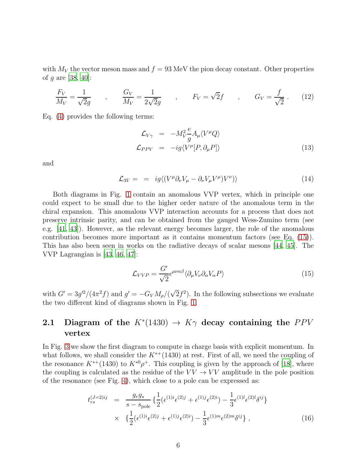with  $M_V$  the vector meson mass and  $f = 93$  MeV the pion decay constant. Other properties of *q* are [\[38,](#page-20-13) [40\]](#page-20-15):

$$
\frac{F_V}{M_V} = \frac{1}{\sqrt{2g}} \qquad , \qquad \frac{G_V}{M_V} = \frac{1}{2\sqrt{2g}} \qquad , \qquad F_V = \sqrt{2}f \qquad , \qquad G_V = \frac{f}{\sqrt{2}} \ . \tag{12}
$$

Eq. [\(4\)](#page-4-0) provides the following terms:

<span id="page-5-1"></span>
$$
\mathcal{L}_{V\gamma} = -M_V^2 \frac{e}{g} A_\mu \langle V^\mu Q \rangle \n\mathcal{L}_{PPV} = -ig \langle V^\mu [P, \partial_\mu P] \rangle
$$
\n(13)

and

<span id="page-5-2"></span>
$$
\mathcal{L}_{3V} = = ig \langle (V^{\mu} \partial_{\nu} V_{\mu} - \partial_{\nu} V_{\mu} V^{\mu}) V^{\nu} \rangle \rangle \tag{14}
$$

Both diagrams in Fig. [1](#page-3-0) contain an anomalous VVP vertex, which in principle one could expect to be small due to the higher order nature of the anomalous term in the chiral expansion. This anomalous VVP interaction accounts for a process that does not preserve intrinsic parity, and can be obtained from the gauged Wess-Zumino term (see e.g. [\[41,](#page-20-16) [43\]](#page-20-17)). However, as the relevant energy becomes larger, the role of the anomalous contribution becomes more important as it contains momentum factors (see Eq. [\(15\)](#page-5-0)). This has also been seen in works on the radiative decays of scalar mesons [\[44](#page-20-18), [45](#page-20-19)]. The VVP Lagrangian is [\[43](#page-20-17), [46](#page-20-20), [47](#page-20-21)]:

<span id="page-5-0"></span>
$$
\mathcal{L}_{VVP} = \frac{G'}{\sqrt{2}} \epsilon^{\mu\nu\alpha\beta} \langle \partial_{\mu} V_{\nu} \partial_{\alpha} V_{\alpha} P \rangle \tag{15}
$$

with  $G' = 3g'^2/(4\pi^2 f)$  and  $g' = -G_V M_\rho/(\sqrt{2}f^2)$ . In the following subsections we evaluate the two different kind of diagrams shown in Fig. [1.](#page-3-0)

#### **2.1** Diagram of the  $K^*(1430) \rightarrow K\gamma$  decay containing the PPV vertex

In Fig. [3](#page-6-0) we show the first diagram to compute in charge basis with explicit momentum. In what follows, we shall consider the  $K^{*+}(1430)$  at rest. First of all, we need the coupling of the resonance  $K^{*+}(1430)$  to  $K^{*0}\rho^+$ . This coupling is given by the approach of [\[18\]](#page-19-14), where the coupling is calculated as the residue of the  $VV \rightarrow VV$  amplitude in the pole position of the resonance (see Fig. [4\)](#page-7-0), which close to a pole can be expressed as:

<span id="page-5-3"></span>
$$
t_{rs}^{(J=2)ij} = \frac{g_r g_s}{s - s_{\text{pole}}} \left\{ \frac{1}{2} (\epsilon^{(1)i} \epsilon^{(2)j} + \epsilon^{(1)j} \epsilon^{(2)i}) - \frac{1}{3} \epsilon^{(1)l} \epsilon^{(2)l} \delta^{ij} \right\}
$$

$$
\times \quad \left\{ \frac{1}{2} (\epsilon^{(1)i} \epsilon^{(2)j} + \epsilon^{(1)j} \epsilon^{(2)i}) - \frac{1}{3} \epsilon^{(1)m} \epsilon^{(2)m} \delta^{ij} \right\}, \tag{16}
$$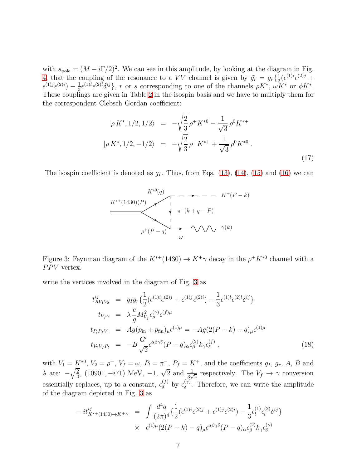with  $s_{\text{pole}} = (M - i\Gamma/2)^2$ . We can see in this amplitude, by looking at the diagram in Fig. [4,](#page-7-0) that the coupling of the resonance to a VV channel is given by  $\tilde{g}_r = g_r \left( \frac{1}{2} \right)$  $\frac{1}{2}(\epsilon^{(1)i}\epsilon^{(2)j} +$  $\epsilon^{(1)j}\epsilon^{(2)i}$  -  $\frac{1}{3}$  $\frac{1}{3} \epsilon^{(1)l} \epsilon^{(2)l} \delta^{ij}$ , r or s corresponding to one of the channels  $\rho K^*$ ,  $\omega \overline{K^*}$  or  $\phi K^*$ . These couplings are given in Table [2](#page-2-1) in the isospin basis and we have to multiply them for the correspondent Clebsch Gordan coefficient:

$$
|\rho K^*, 1/2, 1/2\rangle = -\sqrt{\frac{2}{3}} \rho^+ K^{*0} - \frac{1}{\sqrt{3}} \rho^0 K^{*+}
$$
  

$$
|\rho K^*, 1/2, -1/2\rangle = -\sqrt{\frac{2}{3}} \rho^- K^{*+} + \frac{1}{\sqrt{3}} \rho^0 K^{*0} .
$$
 (17)

The isospin coefficient is denoted as  $q_I$ . Thus, from Eqs. [\(13\)](#page-5-1), [\(14\)](#page-5-2), [\(15\)](#page-5-0) and [\(16\)](#page-5-3) we can



<span id="page-6-0"></span>Figure 3: Feynman diagram of the  $K^{*+}(1430) \rightarrow K^{+}\gamma$  decay in the  $\rho^{+}K^{*0}$  channel with a  $PPV$  vertex.

write the vertices involved in the diagram of Fig. [3](#page-6-0) as

<span id="page-6-1"></span>
$$
t_{RV_1V_2}^{ij} = g_I g_r \{ \frac{1}{2} (\epsilon^{(1)i} \epsilon^{(2)j} + \epsilon^{(1)j} \epsilon^{(2)i}) - \frac{1}{3} \epsilon^{(1)l} \epsilon^{(2)l} \delta^{ij} \}
$$
  
\n
$$
t_{V_f\gamma} = \lambda \frac{e}{g} M_{V_f}^2 \epsilon_{\mu}^{(\gamma)} \epsilon^{(f)\mu}
$$
  
\n
$$
t_{P_l P_f V_1} = Ag(p_{\text{in}} + p_{\text{fin}})_{\mu} \epsilon^{(1)\mu} = -Ag(2(P - k) - q)_{\mu} \epsilon^{(1)\mu}
$$
  
\n
$$
t_{V_2V_f P_l} = -B \frac{G'}{\sqrt{2}} \epsilon^{\alpha\beta\gamma\delta} (P - q)_{\alpha} \epsilon_{\beta}^{(2)} k_{\gamma} \epsilon_{\delta}^{(f)} , \qquad (18)
$$

with  $V_1 = K^{*0}$ ,  $V_2 = \rho^+$ ,  $V_f = \omega$ ,  $P_l = \pi^-$ ,  $P_f = K^+$ , and the coefficients  $g_I$ ,  $g_r$ , A, B and  $\lambda$  are:  $-\sqrt{\frac{2}{3}}$  $\frac{2}{3}$ , (10901, -i71) MeV, -1,  $\sqrt{2}$  and  $\frac{1}{3\sqrt{2}}$  respectively. The  $V_f \rightarrow \gamma$  conversion essentially replaces, up to a constant,  $\epsilon_{\delta}^{(f)}$  by  $\epsilon_{\delta}^{(\gamma)}$  $\delta^{\gamma}$ . Therefore, we can write the amplitude of the diagram depicted in Fig. [3](#page-6-0) as

$$
- it^{ij}_{K^{*+}(1430) \to K^{+}\gamma} = \int \frac{d^4q}{(2\pi)^4} \{ \frac{1}{2} (\epsilon^{(1)i} \epsilon^{(2)j} + \epsilon^{(1)j} \epsilon^{(2)i}) - \frac{1}{3} \epsilon_l^{(1)} \epsilon_l^{(2)} \delta^{ij} \}
$$
  
 
$$
\times \epsilon^{(1)\mu} (2(P - k) - q)_{\mu} \epsilon^{\alpha\beta\gamma\delta} (P - q)_{\alpha} \epsilon_{\beta}^{(2)} k_{\gamma} \epsilon_{\delta}^{(\gamma)}
$$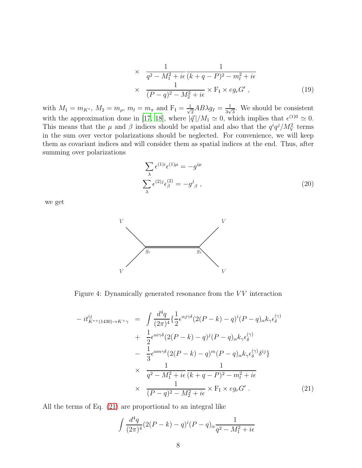$$
\times \quad \frac{1}{q^2 - M_1^2 + i\epsilon} \frac{1}{(k+q-P)^2 - m_l^2 + i\epsilon}
$$
  
 
$$
\times \quad \frac{1}{(P-q)^2 - M_2^2 + i\epsilon} \times F_1 \times eg_r G', \tag{19}
$$

with  $M_1 = m_{K^*}, M_2 = m_{\rho}, m_l = m_{\pi}$  and  $F_I = \frac{1}{\sqrt{2}}$  $\frac{1}{2}AB\lambda g_I = \frac{1}{3\nu}$  $\frac{1}{3\sqrt{3}}$ . We should be consistent with the approximation done in [\[17,](#page-19-13) [18](#page-19-14)], where  $|\vec{q}|/M_1 \simeq 0$ , which implies that  $\epsilon^{(1)0} \simeq 0$ . This means that the  $\mu$  and  $\beta$  indices should be spatial and also that the  $q^{i}q^{j}/M_{V}^{2}$  terms in the sum over vector polarizations should be neglected. For convenience, we will keep them as covariant indices and will consider them as spatial indices at the end. Thus, after summing over polarizations

$$
\sum_{\lambda} \epsilon^{(1)i} \epsilon^{(1)\mu} = -g^{i\mu}
$$
\n
$$
\sum_{\lambda} \epsilon^{(2)j} \epsilon^{(2)}_{\beta} = -g^{j}{}_{\beta} ,
$$
\n(20)

we get



<span id="page-7-0"></span>Figure 4: Dynamically generated resonance from the  $VV$  interaction

<span id="page-7-1"></span>
$$
-it_{K^{*+}(1430)\to K^{+}\gamma}^{ij} = \int \frac{d^4q}{(2\pi)^4} \left\{ \frac{1}{2} \epsilon^{\alpha j \gamma \delta} (2(P-k) - q)^i (P-q)_{\alpha} k_{\gamma} \epsilon_{\delta}^{(\gamma)} \right.\n+ \frac{1}{2} \epsilon^{\alpha i \gamma \delta} (2(P-k) - q)^j (P-q)_{\alpha} k_{\gamma} \epsilon_{\delta}^{(\gamma)} \n- \frac{1}{3} \epsilon^{\alpha m \gamma \delta} (2(P-k) - q)^m (P-q)_{\alpha} k_{\gamma} \epsilon_{\delta}^{(\gamma)} \delta^{ij} \right\}\n\times \frac{1}{q^2 - M_1^2 + i\epsilon} \frac{1}{(k+q-P)^2 - m_l^2 + i\epsilon}\n\times \frac{1}{(P-q)^2 - M_2^2 + i\epsilon} \times F_1 \times eg_r G' . \tag{21}
$$

All the terms of Eq. [\(21\)](#page-7-1) are proportional to an integral like

<span id="page-7-2"></span>
$$
\int \frac{d^4q}{(2\pi)^4} (2(P-k) - q)^i (P-q)_{\alpha} \frac{1}{q^2 - M_1^2 + i\epsilon}
$$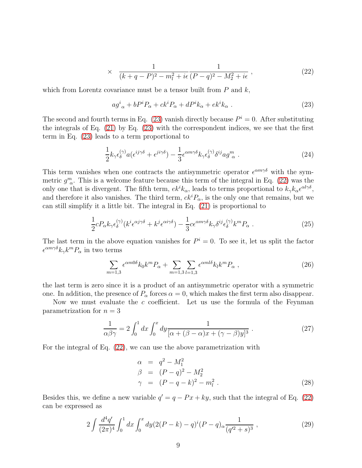$$
\times \quad \frac{1}{(k+q-P)^2 - m_l^2 + i\epsilon} \frac{1}{(P-q)^2 - M_2^2 + i\epsilon} \,, \tag{22}
$$

which from Lorentz covariance must be a tensor built from  $P$  and  $k$ ,

<span id="page-8-0"></span>
$$
ag_{\ \alpha}^{i} + bP^{i}P_{\alpha} + ck^{i}P_{\alpha} + dP^{i}k_{\alpha} + ek^{i}k_{\alpha} . \qquad (23)
$$

The second and fourth terms in Eq. [\(23\)](#page-8-0) vanish directly because  $P<sup>i</sup> = 0$ . After substituting the integrals of Eq. [\(21\)](#page-7-1) by Eq. [\(23\)](#page-8-0) with the correspondent indices, we see that the first term in Eq. [\(23\)](#page-8-0) leads to a term proportional to

$$
\frac{1}{2}k_{\gamma}\epsilon_{\delta}^{(\gamma)}a(\epsilon^{ij\gamma\delta}+\epsilon^{ji\gamma\delta}) - \frac{1}{3}\epsilon^{\alpha m\gamma\delta}k_{\gamma}\epsilon_{\delta}^{(\gamma)}\delta^{ij}ag_{\ \alpha}^{m} \ . \tag{24}
$$

This term vanishes when one contracts the antisymmetric operator  $\epsilon^{\alpha m \gamma \delta}$  with the symmetric  $g^m_{\alpha}$ . This is a welcome feature because this term of the integral in Eq. [\(22\)](#page-7-2) was the only one that is divergent. The fifth term,  $ek^{i}k_{\alpha}$ , leads to terms proportional to  $k_{\gamma}k_{\alpha}\epsilon^{\alpha l\gamma\delta}$ , and therefore it also vanishes. The third term,  $ck<sup>i</sup>P_{\alpha}$ , is the only one that remains, but we can still simplify it a little bit. The integral in Eq. [\(21\)](#page-7-1) is proportional to

$$
\frac{1}{2}cP_{\alpha}k_{\gamma}\epsilon_{\delta}^{(\gamma)}(k^{i}\epsilon^{\alpha j\gamma\delta}+k^{j}\epsilon^{\alpha i\gamma\delta})-\frac{1}{3}c\epsilon^{\alpha m\gamma\delta}k_{\gamma}\delta^{ij}\epsilon_{\delta}^{(\gamma)}k^{m}P_{\alpha}.
$$
\n(25)

The last term in the above equation vanishes for  $P^i = 0$ . To see it, let us split the factor  $\epsilon^{\alpha m\gamma\delta}k_{\gamma}k^mP_{\alpha}$  in two terms

$$
\sum_{m=1,3} \epsilon^{\alpha m 0 \delta} k_0 k^m P_\alpha + \sum_{m=1,3} \sum_{l=1,3} \epsilon^{\alpha m l \delta} k_l k^m P_\alpha \tag{26}
$$

the last term is zero since it is a product of an antisymmetric operator with a symmetric one. In addition, the presence of  $P_\alpha$  forces  $\alpha = 0$ , which makes the first term also disappear.

Now we must evaluate the  $c$  coefficient. Let us use the formula of the Feynman parametrization for  $n = 3$ 

$$
\frac{1}{\alpha\beta\gamma} = 2\int_0^1 dx \int_0^x dy \frac{1}{\left[\alpha + (\beta - \alpha)x + (\gamma - \beta)y\right]^3} \tag{27}
$$

For the integral of Eq. [\(22\)](#page-7-2), we can use the above parametrization with

$$
\alpha = q^{2} - M_{1}^{2}
$$
\n
$$
\beta = (P - q)^{2} - M_{2}^{2}
$$
\n
$$
\gamma = (P - q - k)^{2} - m_{l}^{2}. \tag{28}
$$

Besides this, we define a new variable  $q' = q - Px + ky$ , such that the integral of Eq. [\(22\)](#page-7-2) can be expressed as

<span id="page-8-1"></span>
$$
2\int \frac{d^4q'}{(2\pi)^4} \int_0^1 dx \int_0^x dy (2(P-k) - q)^i (P-q)_{\alpha} \frac{1}{(q'^2+s)^3} , \qquad (29)
$$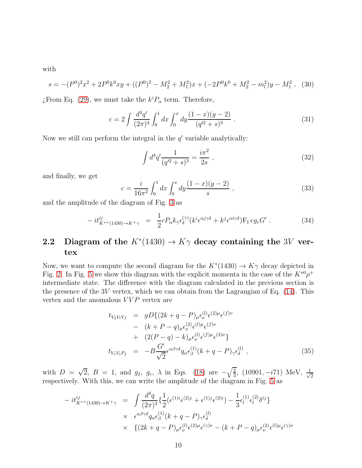with

$$
s = -(P0)2x2 + 2P0k0xy + ((P0)2 – M22 + M12)x + (-2P0k0 + M22 – m12)y – M12. (30)
$$

*i*, From Eq. [\(29\)](#page-8-1), we must take the  $k^i P_\alpha$  term. Therefore,

$$
c = 2 \int \frac{d^4 q'}{(2\pi)^4} \int_0^1 dx \int_0^x dy \frac{(1-x)(y-2)}{(q'^2+s)^3} . \tag{31}
$$

Now we still can perform the integral in the  $q'$  variable analytically:

$$
\int d^4q' \frac{1}{(q'^2 + s)^3} = \frac{i\pi^2}{2s} ,\qquad (32)
$$

and finally, we get

<span id="page-9-1"></span>
$$
c = \frac{i}{16\pi^2} \int_0^1 dx \int_0^x dy \frac{(1-x)(y-2)}{s} , \qquad (33)
$$

and the amplitude of the diagram of Fig. [3](#page-6-0) as

<span id="page-9-0"></span>
$$
-it_{K^{*+}(1430)\to K^{+}\gamma}^{ij} = \frac{1}{2}cP_{\alpha}k_{\gamma}\epsilon_{\delta}^{(\gamma)}(k^{i}\epsilon^{\alpha j\gamma\delta} + k^{j}\epsilon^{\alpha i\gamma\delta})\mathcal{F}_{I} e g_{r} G' . \qquad (34)
$$

#### 2.2 Diagram of the  $K^*(1430) \to K\gamma$  decay containing the 3V vertex

Now, we want to compute the second diagram for the  $K^*(1430) \to K\gamma$  decay depicted in Fig. [2.](#page-3-1) In Fig. [5](#page-10-0) we show this diagram with the explicit momenta in the case of the  $K^{*0}\rho^+$ intermediate state. The difference with the diagram calculated in the previous section is the presence of the 3V vertex, which we can obtain from the Lagrangian of Eq.  $(14)$ . This vertex and the anomalous  $VVP$  vertex are

$$
t_{V_2 V_1 V_f} = gD\{(2k+q-P)_{\mu}\epsilon_{\nu}^{(l)}\epsilon^{(2)\mu}\epsilon^{(f)\nu} - (k+P-q)_{\mu}\epsilon_{\nu}^{(2)}\epsilon^{(l)\mu}\epsilon^{(f)\nu} + (2(P-q)-k)_{\mu}\epsilon_{\nu}^{(l)}\epsilon^{(f)\mu}\epsilon^{(2)\nu}\} t_{V_1 V_l P_f} = -B\frac{G'}{\sqrt{2}}\epsilon^{\alpha\beta\gamma\delta}q_{\alpha}\epsilon_{\beta}^{(1)}(k+q-P)_{\gamma}\epsilon_{\delta}^{(l)},
$$
(35)

with  $D = \sqrt{2}$ ,  $B = 1$ , and  $g_I$ ,  $g_r$ ,  $\lambda$  in Eqs. [\(18\)](#page-6-1) are  $-\sqrt{\frac{2}{3}}$  $\frac{2}{3}$ , (10901, −*i*71) MeV,  $\frac{1}{\sqrt{2}}$ 2 respectively. With this, we can write the amplitude of the diagram in Fig. [5](#page-10-0) as

$$
-it_{K^{*+}(1430)\to K^{+}\gamma}^{ij} = \int \frac{d^4q}{(2\pi)^4} \{ \frac{1}{2} (\epsilon^{(1)i} \epsilon^{(2)j} + \epsilon^{(1)j} \epsilon^{(2)i}) - \frac{1}{3} \epsilon_l^{(1)} \epsilon_l^{(2)} \delta^{ij} \}
$$
  
 
$$
\times \quad \epsilon^{\alpha\beta\gamma\delta} q_\alpha \epsilon_\beta^{(1)} (k+q-P)_\gamma \epsilon_\delta^{(l)}
$$
  
 
$$
\times \quad \{ (2k+q-P)_\mu \epsilon_\nu^{(l)} \epsilon^{(2)\mu} \epsilon^{(\gamma)\nu} - (k+P-q)_\mu \epsilon_\nu^{(2)} \epsilon^{(l)\mu} \epsilon^{(\gamma)\nu}
$$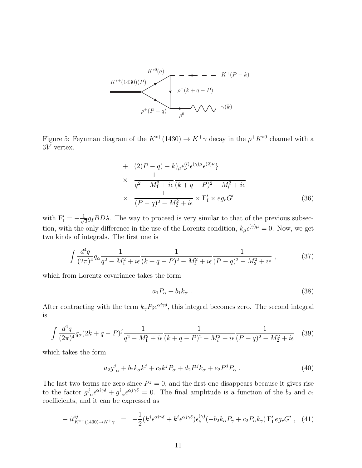$$
K^{*0}(q)
$$
\n
$$
K^{*0}(q)
$$
\n
$$
\rho^-(k+q-P)
$$
\n
$$
\rho^+(P-q)
$$
\n
$$
\rho^0
$$
\n
$$
\rho^+(N-q)
$$
\n
$$
\rho^0
$$
\n
$$
\rho^0
$$
\n
$$
\rho^0
$$

<span id="page-10-0"></span>Figure 5: Feynman diagram of the  $K^{*+}(1430) \rightarrow K^{+}\gamma$  decay in the  $\rho^{+}K^{*0}$  channel with a 3V vertex.

+ 
$$
(2(P - q) - k)_{\mu} \epsilon_{\nu}^{(l)} \epsilon^{(\gamma)\mu} \epsilon^{(2)\nu}
$$
  
\n×  $\frac{1}{q^2 - M_1^2 + i\epsilon} \frac{1}{(k+q-P)^2 - M_l^2 + i\epsilon}$   
\n×  $\frac{1}{(P-q)^2 - M_2^2 + i\epsilon}$  × F'<sub>I</sub> × eg<sub>r</sub>G' (36)

with  $F'_I = -\frac{1}{\sqrt{2}}$  $\frac{1}{2}g_IBD\lambda$ . The way to proceed is very similar to that of the previous subsection, with the only difference in the use of the Lorentz condition,  $k_{\mu} \epsilon^{(\gamma)\mu} = 0$ . Now, we get two kinds of integrals. The first one is

$$
\int \frac{d^4q}{(2\pi)^4} q_\alpha \frac{1}{q^2 - M_1^2 + i\epsilon} \frac{1}{(k+q-P)^2 - M_l^2 + i\epsilon} \frac{1}{(P-q)^2 - M_2^2 + i\epsilon} ,\qquad (37)
$$

which from Lorentz covariance takes the form

$$
a_1 P_\alpha + b_1 k_\alpha \tag{38}
$$

After contracting with the term  $k_{\gamma}P_{\delta}e^{\alpha i\gamma\delta}$ , this integral becomes zero. The second integral is

$$
\int \frac{d^4q}{(2\pi)^4} q_\alpha (2k+q-P)^j \frac{1}{q^2 - M_1^2 + i\epsilon} \frac{1}{(k+q-P)^2 - M_l^2 + i\epsilon} \frac{1}{(P-q)^2 - M_2^2 + i\epsilon} \tag{39}
$$

which takes the form

$$
a_2 g^j{}_{\alpha} + b_2 k_{\alpha} k^j + c_2 k^j P_{\alpha} + d_2 P^j k_{\alpha} + e_2 P^j P_{\alpha} \ . \tag{40}
$$

The last two terms are zero since  $P_j = 0$ , and the first one disappears because it gives rise to the factor  $g^j{}_{\alpha}\epsilon^{\alpha i\gamma\delta} + g^i{}_{\alpha}\epsilon^{\alpha j\gamma\delta} = 0$ . The final amplitude is a function of the  $b_2$  and  $c_2$ coefficients, and it can be expressed as

<span id="page-10-1"></span>
$$
-it_{K^{*+}(1430)\to K^{+}\gamma}^{ij} = -\frac{1}{2}(k^{j}\epsilon^{\alpha i\gamma\delta} + k^{i}\epsilon^{\alpha j\gamma\delta})\epsilon_{\delta}^{(\gamma)}(-b_{2}k_{\alpha}P_{\gamma} + c_{2}P_{\alpha}k_{\gamma})\mathbf{F}'_{1}eg_{r}G', \quad (41)
$$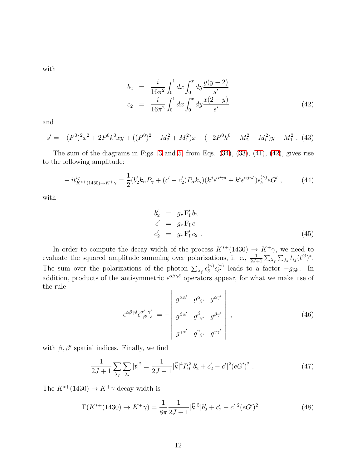with

<span id="page-11-0"></span>
$$
b_2 = \frac{i}{16\pi^2} \int_0^1 dx \int_0^x dy \frac{y(y-2)}{s'}
$$
  
\n
$$
c_2 = \frac{i}{16\pi^2} \int_0^1 dx \int_0^x dy \frac{x(2-y)}{s'}
$$
\n(42)

and

$$
s' = -(P0)2x2 + 2P0k0xy + ((P0)2 – M22 + M12)x + (-2P0k0 + M22 – M12)y – M12. (43)
$$

The sum of the diagrams in Figs. [3](#page-6-0) and [5,](#page-10-0) from Eqs. [\(34\)](#page-9-0), [\(33\)](#page-9-1), [\(41\)](#page-10-1), [\(42\)](#page-11-0), gives rise to the following amplitude:

$$
-it_{K^{*+}(1430)\to K^{+}\gamma}^{ij} = \frac{1}{2}(b_2'k_{\alpha}P_{\gamma} + (c'-c_2')P_{\alpha}k_{\gamma})(k^{j}\epsilon^{\alpha i\gamma\delta} + k^{i}\epsilon^{\alpha j\gamma\delta})\epsilon_{\delta}^{(\gamma)}eG', \qquad (44)
$$

with

$$
b'_2 = g_r F'_1 b_2
$$
  
\n
$$
c' = g_r F_1 c
$$
  
\n
$$
c'_2 = g_r F'_1 c_2.
$$
\n(45)

In order to compute the decay width of the process  $K^{*+}(1430) \rightarrow K^{+}\gamma$ , we need to evaluate the squared amplitude summing over polarizations, i. e.,  $\frac{1}{2J+1} \sum_{\lambda_f} \sum_{\lambda_i} t_{ij} (t^{ij})^*$ . The sum over the polarizations of the photon  $\sum_{\lambda_f} \epsilon_{\delta}^{(\gamma)}$  $\begin{matrix} (\gamma)\ \delta^{\prime} \end{matrix} \epsilon_{\delta^{\prime}}^{(\gamma)}$  $\delta'$  leads to a factor  $-g_{\delta\delta'}$ . In addition, products of the antisymmetric  $\epsilon^{\alpha\beta\gamma\delta}$  operators appear, for what we make use of the rule

$$
\epsilon^{\alpha\beta\gamma\delta}\epsilon^{\alpha'}_{\ \beta'}\gamma'_{\delta} = -\begin{vmatrix} g^{\alpha\alpha'} & g^{\alpha}_{\ \beta'} & g^{\alpha\gamma'} \\ g^{\beta\alpha'} & g^{\beta}_{\ \beta'} & g^{\beta\gamma'} \\ g^{\gamma\alpha'} & g^{\gamma}_{\ \beta'} & g^{\gamma\gamma'} \end{vmatrix},
$$
\n(46)

with  $\beta$ ,  $\beta'$  spatial indices. Finally, we find

$$
\frac{1}{2J+1} \sum_{\lambda_f} \sum_{\lambda_i} |t|^2 = \frac{1}{2J+1} |\vec{k}|^4 P_0^2 |b'_2 + c'_2 - c'|^2 (eG')^2 . \tag{47}
$$

The  $K^{*+}(1430)\rightarrow K^+\gamma$  decay width is

$$
\Gamma(K^{*+}(1430) \to K^{+}\gamma) = \frac{1}{8\pi} \frac{1}{2J+1} |\vec{k}|^{5} |b'_{2} + c'_{2} - c'|^{2} (eG')^{2} . \tag{48}
$$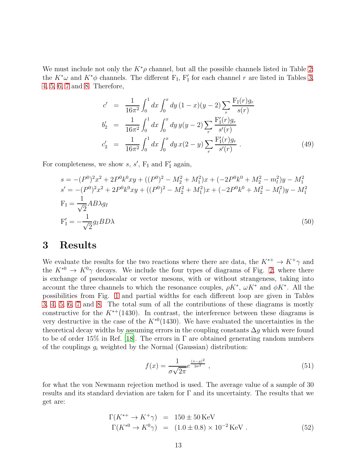We must include not only the  $K^*\rho$  channel, but all the possible channels listed in Table [2:](#page-2-1) the  $K^*\omega$  and  $K^*\phi$  channels. The different  $F_I$ ,  $F'_I$  for each channel r are listed in Tables [3,](#page-14-0) [4,](#page-15-0) [5,](#page-16-0) [6,](#page-17-0) [7](#page-18-3) and [8.](#page-18-4) Therefore,

$$
c' = \frac{1}{16\pi^2} \int_0^1 dx \int_0^x dy (1-x)(y-2) \sum_r \frac{F_I(r)g_r}{s(r)}
$$
  
\n
$$
b'_2 = \frac{1}{16\pi^2} \int_0^1 dx \int_0^x dy y(y-2) \sum_r \frac{F'_I(r)g_r}{s'(r)}
$$
  
\n
$$
c'_2 = \frac{1}{16\pi^2} \int_0^1 dx \int_0^x dy x(2-y) \sum_r \frac{F'_I(r)g_r}{s'(r)}
$$
 (49)

For completeness, we show  $s, s', F_I$  and  $F'_I$  again,

$$
s = -(P^{0})^{2}x^{2} + 2P^{0}k^{0}xy + ((P^{0})^{2} - M_{2}^{2} + M_{1}^{2})x + (-2P^{0}k^{0} + M_{2}^{2} - m_{l}^{2})y - M_{1}^{2}
$$
  
\n
$$
s' = -(P^{0})^{2}x^{2} + 2P^{0}k^{0}xy + ((P^{0})^{2} - M_{2}^{2} + M_{1}^{2})x + (-2P^{0}k^{0} + M_{2}^{2} - M_{l}^{2})y - M_{1}^{2}
$$
  
\n
$$
F_{I} = \frac{1}{\sqrt{2}}AB\lambda g_{I}
$$
  
\n
$$
F'_{I} = -\frac{1}{\sqrt{2}}g_{I}BD\lambda
$$
\n(50)

### 3 Results

We evaluate the results for the two reactions where there are data, the  $K^{*+} \to K^+ \gamma$  and the  $K^{*0} \to K^0 \gamma$  decays. We include the four types of diagrams of Fig. [2,](#page-3-1) where there is exchange of pseudoscalar or vector mesons, with or without strangeness, taking into account the three channels to which the resonance couples,  $\rho K^*$ ,  $\omega K^*$  and  $\phi K^*$ . All the possibilities from Fig. [1](#page-3-0) and partial widths for each different loop are given in Tables [3,](#page-14-0) [4,](#page-15-0) [5,](#page-16-0) [6,](#page-17-0) [7](#page-18-3) and [8.](#page-18-4) The total sum of all the contributions of these diagrams is mostly constructive for the  $K^{*+}(1430)$ . In contrast, the interference between these diagrams is very destructive in the case of the  $K^{*0}(1430)$ . We have evaluated the uncertainties in the theoretical decay widths by assuming errors in the coupling constants  $\Delta g$  which were found to be of order 15% in Ref. [\[18](#page-19-14)]. The errors in  $\Gamma$  are obtained generating random numbers of the couplings  $g_i$  weighted by the Normal (Gaussian) distribution:

$$
f(x) = \frac{1}{\sigma\sqrt{2\pi}}e^{\frac{(x-g)^2}{2\sigma^2}},
$$
\n(51)

for what the von Newmann rejection method is used. The average value of a sample of 30 results and its standard deviation are taken for Γ and its uncertainty. The results that we get are:

<span id="page-12-0"></span>
$$
\Gamma(K^{*+} \to K^{+}\gamma) = 150 \pm 50 \,\text{KeV} \n\Gamma(K^{*0} \to K^{0}\gamma) = (1.0 \pm 0.8) \times 10^{-2} \,\text{KeV} .
$$
\n(52)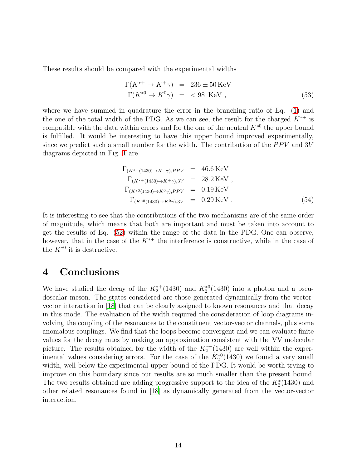These results should be compared with the experimental widths

$$
\Gamma(K^{*+} \to K^+ \gamma) = 236 \pm 50 \,\text{KeV}
$$
  
\n
$$
\Gamma(K^{*0} \to K^0 \gamma) = < 98 \,\text{KeV},
$$
\n(53)

where we have summed in quadrature the error in the branching ratio of Eq.  $(1)$  and the one of the total width of the PDG. As we can see, the result for the charged  $K^{*+}$  is compatible with the data within errors and for the one of the neutral  $K^{*0}$  the upper bound is fulfilled. It would be interesting to have this upper bound improved experimentally, since we predict such a small number for the width. The contribution of the  $PPV$  and 3V diagrams depicted in Fig. [1](#page-3-0) are

$$
\Gamma_{(K^{*+}(1430) \to K^{+}\gamma), PPV} = 46.6 \text{ KeV}
$$
\n
$$
\Gamma_{(K^{*+}(1430) \to K^{+}\gamma), 3V} = 28.2 \text{ KeV},
$$
\n
$$
\Gamma_{(K^{*0}(1430) \to K^{0}\gamma), PPV} = 0.19 \text{ KeV}
$$
\n
$$
\Gamma_{(K^{*0}(1430) \to K^{0}\gamma), 3V} = 0.29 \text{ KeV}.
$$
\n(54)

It is interesting to see that the contributions of the two mechanisms are of the same order of magnitude, which means that both are important and must be taken into account to get the results of Eq. [\(52\)](#page-12-0) within the range of the data in the PDG. One can observe, however, that in the case of the  $K^{*+}$  the interference is constructive, while in the case of the  $K^{*0}$  it is destructive.

### 4 Conclusions

We have studied the decay of the  $K_2^{*+}(1430)$  and  $K_2^{*0}(1430)$  into a photon and a pseudoscalar meson. The states considered are those generated dynamically from the vectorvector interaction in [\[18\]](#page-19-14) that can be clearly assigned to known resonances and that decay in this mode. The evaluation of the width required the consideration of loop diagrams involving the coupling of the resonances to the constituent vector-vector channels, plus some anomalous couplings. We find that the loops become convergent and we can evaluate finite values for the decay rates by making an approximation consistent with the VV molecular picture. The results obtained for the width of the  $K_2^{*+}(1430)$  are well within the experimental values considering errors. For the case of the  $K_2^{*0}(1430)$  we found a very small width, well below the experimental upper bound of the PDG. It would be worth trying to improve on this boundary since our results are so much smaller than the present bound. The two results obtained are adding progressive support to the idea of the  $K_2^*(1430)$  and other related resonances found in [\[18\]](#page-19-14) as dynamically generated from the vector-vector interaction.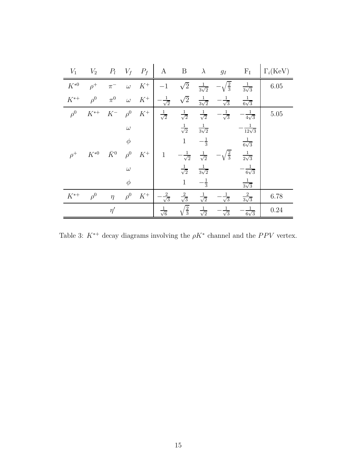| $V_1$    | $V_2$        |             | $P_l$ $V_f$ $P_f$ |       | $\bf{A}$              | $\mathbf{B}$          | $\lambda$             | $g_I$                 | $F_I$                   | $\Gamma_i(\text{KeV})$ |
|----------|--------------|-------------|-------------------|-------|-----------------------|-----------------------|-----------------------|-----------------------|-------------------------|------------------------|
| $K^{*0}$ | $\rho^+$     | $\pi^-$     | $\omega$          | $K^+$ | $-1$                  | $\sqrt{2}$            | $\frac{1}{3\sqrt{2}}$ | $-\sqrt{\frac{2}{3}}$ | $\frac{1}{3\sqrt{3}}$   | 6.05                   |
| $K^{*+}$ | $\rho^0$     | $\pi^0$     | $\omega$          | $K^+$ | $-\frac{1}{\sqrt{2}}$ | $\sqrt{2}$            | $\frac{1}{3\sqrt{2}}$ | $-\frac{1}{\sqrt{3}}$ | $\frac{1}{6\sqrt{3}}$   |                        |
| $\rho^0$ | $K^{\ast +}$ | $K^-$       | $\rho^0$          | $K^+$ | $\frac{1}{\sqrt{2}}$  | $\frac{1}{\sqrt{2}}$  | $\frac{1}{\sqrt{2}}$  | $-\frac{1}{\sqrt{3}}$ | $-\frac{1}{4\sqrt{3}}$  | 5.05                   |
|          |              |             | $\omega$          |       |                       | $\frac{1}{\sqrt{2}}$  | $\frac{1}{3\sqrt{2}}$ |                       | $-\frac{1}{12\sqrt{3}}$ |                        |
|          |              |             | $\phi$            |       |                       | $1\,$                 | $-\frac{1}{3}$        |                       | $\frac{1}{6\sqrt{3}}$   |                        |
| $\rho^+$ | $K^{*0}$     | $\bar{K}^0$ | $\rho^0$          | $K^+$ | $\mathbf{1}$          | $-\frac{1}{\sqrt{2}}$ | $\frac{1}{\sqrt{2}}$  | $-\sqrt{\frac{2}{3}}$ | $\frac{1}{2\sqrt{3}}$   |                        |
|          |              |             | $\omega$          |       |                       | $\frac{1}{\sqrt{2}}$  | $\frac{1}{3\sqrt{2}}$ |                       | $-\frac{1}{6\sqrt{3}}$  |                        |
|          |              |             | $\phi$            |       |                       | $\mathbf{1}$          | $-\frac{1}{3}$        |                       | $rac{1}{3\sqrt{3}}$     |                        |
| $K^{*+}$ | $\rho^0$     | $\eta$      | $\rho^0$          | $K^+$ | $\frac{2}{\sqrt{3}}$  | $\frac{2}{\sqrt{3}}$  | $\frac{1}{\sqrt{2}}$  | $\frac{1}{\sqrt{3}}$  | $\frac{2}{3\sqrt{3}}$   | 6.78                   |
|          |              | $\eta'$     |                   |       | $\frac{1}{\sqrt{6}}$  | $\sqrt{\frac{2}{3}}$  | $\frac{1}{\sqrt{2}}$  | $\frac{1}{\sqrt{3}}$  | $\frac{1}{6\sqrt{3}}$   | 0.24                   |

<span id="page-14-0"></span>Table 3:  $K^{*+}$  decay diagrams involving the  $\rho K^*$  channel and the PPV vertex.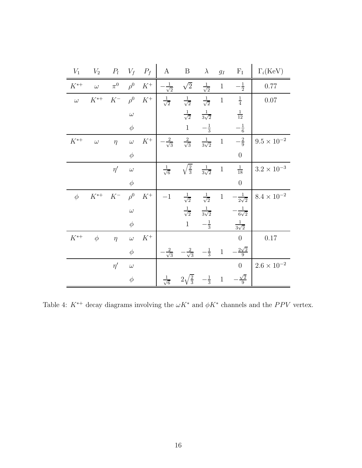| $V_1$    | $V_2$    | $P_l$   | $V_f$    | $P_f$ | $\mathbf{A}$          | $\, {\bf B}$          | $\lambda$             | $g_I$        | $\rm F_I$              | $\Gamma_i(\text{KeV})$ |
|----------|----------|---------|----------|-------|-----------------------|-----------------------|-----------------------|--------------|------------------------|------------------------|
| $K^{*+}$ | $\omega$ | $\pi^0$ | $\rho^0$ | $K^+$ | $\frac{1}{\sqrt{2}}$  | $\sqrt{2}$            | $\frac{1}{\sqrt{2}}$  | $\,1\,$      | $-\frac{1}{2}$         | 0.77                   |
| $\omega$ | $K^{*+}$ | $K^-$   | $\rho^0$ | $K^+$ | $\frac{1}{\sqrt{2}}$  | $\frac{1}{\sqrt{2}}$  | $\frac{1}{\sqrt{2}}$  | $\,1\,$      | $\frac{1}{4}$          | $0.07\,$               |
|          |          |         | $\omega$ |       |                       | $\frac{1}{\sqrt{2}}$  | $\frac{1}{3\sqrt{2}}$ |              | $\frac{1}{12}$         |                        |
|          |          |         | $\phi$   |       |                       | $\,1$                 | $-\frac{1}{3}$        |              | $-\frac{1}{6}$         |                        |
| $K^{*+}$ | $\omega$ | $\eta$  | $\omega$ | $K^+$ | $-\frac{2}{\sqrt{3}}$ | $\frac{2}{\sqrt{3}}$  | $\frac{1}{3\sqrt{2}}$ | $\,1\,$      | $-\frac{2}{9}$         | $9.5\times10^{-2}$     |
|          |          |         | $\phi$   |       |                       |                       |                       |              | $\boldsymbol{0}$       |                        |
|          |          | $\eta'$ | $\omega$ |       | $\frac{1}{\sqrt{6}}$  | $\sqrt{\frac{2}{3}}$  | $\frac{1}{3\sqrt{2}}$ | $\,1\,$      | $\frac{1}{18}$         | $3.2\times10^{-3}$     |
|          |          |         | $\phi$   |       |                       |                       |                       |              | $\overline{0}$         |                        |
| $\phi$   | $K^{*+}$ | $K^-$   | $\rho^0$ | $K^+$ | $-1$                  | $\frac{1}{\sqrt{2}}$  | $\frac{1}{\sqrt{2}}$  | $\,1\,$      | $-\frac{1}{2\sqrt{2}}$ | $8.4\times10^{-2}$     |
|          |          |         | $\omega$ |       |                       | $\frac{1}{\sqrt{2}}$  | $\frac{1}{3\sqrt{2}}$ |              | $-\frac{1}{6\sqrt{2}}$ |                        |
|          |          |         | $\phi$   |       |                       | $\,1\,$               | $-\frac{1}{3}$        |              | $\frac{1}{3\sqrt{2}}$  |                        |
| $K^{*+}$ | $\phi$   | $\eta$  | $\omega$ | $K^+$ |                       |                       |                       |              | $\overline{0}$         | $0.17\,$               |
|          |          |         | $\phi$   |       | $\frac{2}{\sqrt{3}}$  | $-\frac{2}{\sqrt{3}}$ | $-\frac{1}{3}$        | $\mathbf{1}$ | $-\frac{2\sqrt{2}}{9}$ |                        |
|          |          | $\eta'$ | $\omega$ |       |                       |                       |                       |              | $\overline{0}$         | $2.6\times10^{-2}$     |
|          |          |         | $\phi$   |       | $\frac{1}{\sqrt{6}}$  | $2\sqrt{\frac{2}{3}}$ | $-\frac{1}{3}$        | $\,1\,$      | $-\frac{\sqrt{2}}{9}$  |                        |

<span id="page-15-0"></span>Table 4:  $K^{*+}$  decay diagrams involving the  $\omega K^*$  and  $\phi K^*$  channels and the PPV vertex.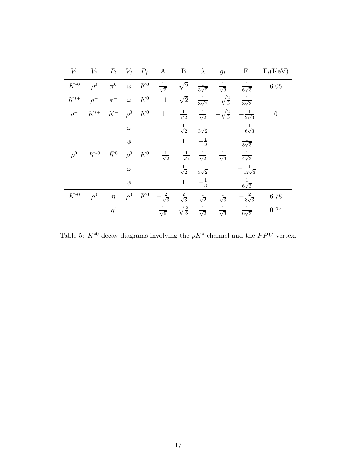| $V_1$    | $V_2$    | $P_l$       | $V_f$ $P_f$ |                 | A                     | $\boldsymbol{B}$      | $\lambda$             | $g_I$                 | $F_I$                  | $\Gamma_i(\text{KeV})$ |
|----------|----------|-------------|-------------|-----------------|-----------------------|-----------------------|-----------------------|-----------------------|------------------------|------------------------|
| $K^{*0}$ | $\rho^0$ | $\pi^0$     | $\omega$    | $K^0$           | $\frac{1}{\sqrt{2}}$  | $\sqrt{2}$            | $\frac{1}{3\sqrt{2}}$ | $\frac{1}{\sqrt{3}}$  | $\frac{1}{6\sqrt{3}}$  | 6.05                   |
| $K^{*+}$ | $\rho^-$ | $\pi^+$     | $\omega$    | $K^0$           | $-1$                  | $\sqrt{2}$            | $\frac{1}{3\sqrt{2}}$ | $-\sqrt{\frac{2}{3}}$ | $\frac{1}{3\sqrt{3}}$  |                        |
| $\rho^-$ | $K^{*+}$ | $K^-$       | $\rho^0$    | $\mathcal{K}^0$ | $\mathbf{1}$          | $\frac{1}{\sqrt{2}}$  | $\frac{1}{\sqrt{2}}$  | $\sqrt{\frac{2}{3}}$  | $\frac{1}{2\sqrt{3}}$  | $\boldsymbol{0}$       |
|          |          |             | $\omega$    |                 |                       | $\frac{1}{\sqrt{2}}$  | $\frac{1}{3\sqrt{2}}$ |                       | $\frac{1}{6\sqrt{3}}$  |                        |
|          |          |             | $\phi$      |                 |                       | $\mathbf{1}$          | $-\frac{1}{3}$        |                       | $rac{1}{3\sqrt{3}}$    |                        |
| $\rho^0$ | $K^{*0}$ | $\bar{K}^0$ | $\rho^0$    | $K^0$           | $\frac{1}{\sqrt{2}}$  | $-\frac{1}{\sqrt{2}}$ | $\frac{1}{\sqrt{2}}$  | $\frac{1}{\sqrt{3}}$  | $\frac{1}{4\sqrt{3}}$  |                        |
|          |          |             | $\omega$    |                 |                       | $\frac{1}{\sqrt{2}}$  | $\frac{1}{3\sqrt{2}}$ |                       | $\frac{1}{12\sqrt{3}}$ |                        |
|          |          |             | $\phi$      |                 |                       | $\mathbf{1}$          | $-\frac{1}{3}$        |                       | $\frac{1}{6\sqrt{3}}$  |                        |
| $K^{*0}$ | $\rho^0$ | $\eta$      | $\rho^0$    | $K^0$           | $-\frac{2}{\sqrt{3}}$ | $\frac{2}{\sqrt{3}}$  | $\frac{1}{\sqrt{2}}$  | $\frac{1}{\sqrt{3}}$  | $\frac{2}{3\sqrt{3}}$  | 6.78                   |
|          |          | $\eta'$     |             |                 | $\frac{1}{\sqrt{6}}$  | $\sqrt{\frac{2}{3}}$  | $\frac{1}{\sqrt{2}}$  | $\frac{1}{\sqrt{3}}$  | $\frac{1}{6\sqrt{3}}$  | 0.24                   |

<span id="page-16-0"></span>Table 5:  $K^{*0}$  decay diagrams involving the  $\rho K^*$  channel and the PPV vertex.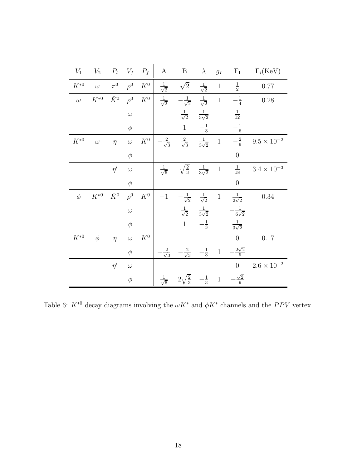| $V_1$        | $V_2$        | $P_l$       | $V_f$    | $P_f$           | $\mathbf{A}$          | $\, {\bf B}$                           | $\lambda$             | $g_I$        | $F_I$                  | $\Gamma_i(\text{KeV})$ |
|--------------|--------------|-------------|----------|-----------------|-----------------------|----------------------------------------|-----------------------|--------------|------------------------|------------------------|
| $K^{\ast 0}$ | $\omega$     | $\pi^0$     | $\rho^0$ | $\mathcal{K}^0$ | $\frac{1}{\sqrt{2}}$  | $\sqrt{2}$                             | $\frac{1}{\sqrt{2}}$  | $\mathbf{1}$ | $\frac{1}{2}$          | 0.77                   |
| $\omega$     | $K^{\ast 0}$ | $\bar{K}^0$ | $\rho^0$ | $\mathcal{K}^0$ | $\frac{1}{\sqrt{2}}$  | $-\frac{1}{\sqrt{2}}$                  | $\frac{1}{\sqrt{2}}$  | $\mathbf{1}$ | $-\frac{1}{4}$         | 0.28                   |
|              |              |             | $\omega$ |                 |                       | $\frac{1}{\sqrt{2}}$                   | $\frac{1}{3\sqrt{2}}$ |              | $\frac{1}{12}$         |                        |
|              |              |             | $\phi$   |                 |                       | $\mathbf{1}$                           | $-\frac{1}{3}$        |              | $-\frac{1}{6}$         |                        |
| $K^{\ast 0}$ | $\omega$     | $\eta$      | $\omega$ | $K^0$           | $-\frac{2}{\sqrt{3}}$ | $\frac{2}{\sqrt{3}}$                   | $\frac{1}{3\sqrt{2}}$ | $\,1\,$      | $-\frac{2}{9}$         | $9.5\times10^{-2}$     |
|              |              |             | $\phi$   |                 |                       |                                        |                       |              | $\overline{0}$         |                        |
|              |              | $\eta'$     | $\omega$ |                 | $\frac{1}{\sqrt{6}}$  | $\sqrt{\frac{2}{3}}$                   | $\frac{1}{3\sqrt{2}}$ | $\,1\,$      | $\frac{1}{18}$         | $3.4\times10^{-3}$     |
|              |              |             | $\phi$   |                 |                       |                                        |                       |              | $\overline{0}$         |                        |
| $\phi$       | $K^{\ast 0}$ | $\bar{K}^0$ | $\rho^0$ | ${\cal K}^0$    | $-1\,$                | $-\frac{1}{\sqrt{2}}$                  | $\frac{1}{\sqrt{2}}$  | $\mathbf 1$  | $\frac{1}{2\sqrt{2}}$  | $0.34\,$               |
|              |              |             | $\omega$ |                 |                       | $\frac{1}{\sqrt{2}}$                   | $\frac{1}{3\sqrt{2}}$ |              | $-\frac{1}{6\sqrt{2}}$ |                        |
|              |              |             | $\phi$   |                 |                       | $\mathbf{1}$                           | $-\frac{1}{3}$        |              | $\frac{1}{3\sqrt{2}}$  |                        |
| $K^{\ast 0}$ | $\phi$       | $\eta$      | $\omega$ | $\mathcal{K}^0$ |                       |                                        |                       |              | $\overline{0}$         | 0.17                   |
|              |              |             | $\phi$   |                 | $\frac{2}{\sqrt{3}}$  | $\frac{2}{\sqrt{3}}$                   | $\frac{1}{3}$         | $\,1$        | $-\frac{2\sqrt{2}}{9}$ |                        |
|              |              | $\eta'$     | $\omega$ |                 |                       |                                        |                       |              | $\overline{0}$         | $2.6\times10^{-2}$     |
|              |              |             | $\phi$   |                 | $\frac{1}{\sqrt{6}}$  | $\sqrt{\frac{2}{3}}$<br>2 <sub>1</sub> | $-\frac{1}{3}$        | $\,1$        | $\frac{\sqrt{2}}{9}$   |                        |

<span id="page-17-0"></span>Table 6:  $K^{*0}$  decay diagrams involving the  $\omega K^*$  and  $\phi K^*$  channels and the PPV vertex.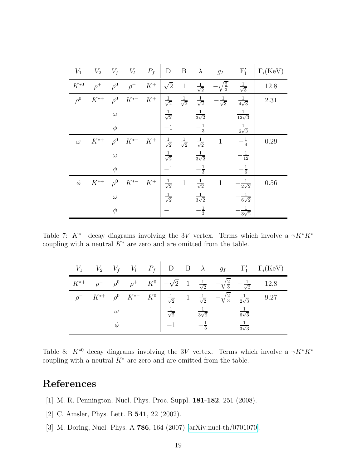| $V_1$    | $V_2$    | $V_f$    | $V_l \t P_f$ |       | $\mathbf{D}$         | $B \lambda$          |                       | $g_I$                 | $F'_{I}$               | $\Gamma_i(\text{KeV})$ |
|----------|----------|----------|--------------|-------|----------------------|----------------------|-----------------------|-----------------------|------------------------|------------------------|
| $K^{*0}$ | $\rho^+$ | $\rho^0$ | $\rho^-$     | $K^+$ | $\sqrt{2}$           | $\mathbf{1}$         | $\frac{1}{\sqrt{2}}$  | $\sqrt{\frac{2}{3}}$  | $\frac{1}{\sqrt{3}}$   | 12.8                   |
| $\rho^0$ | $K^{*+}$ | $\rho^0$ | $K^{\ast -}$ | $K^+$ | $\frac{1}{\sqrt{2}}$ | $\frac{1}{\sqrt{2}}$ | $\frac{1}{\sqrt{2}}$  | $-\frac{1}{\sqrt{3}}$ | $\frac{1}{4\sqrt{3}}$  | 2.31                   |
|          |          | $\omega$ |              |       | $\frac{1}{\sqrt{2}}$ |                      | $\frac{1}{3\sqrt{2}}$ |                       | $\frac{1}{12\sqrt{3}}$ |                        |
|          |          | $\phi$   |              |       | $-1$                 |                      | $-\frac{1}{3}$        |                       | $\frac{1}{6\sqrt{3}}$  |                        |
| $\omega$ | $K^{*+}$ | $\rho^0$ | $K^{*-}$     | $K^+$ | $\frac{1}{\sqrt{2}}$ | $\frac{1}{\sqrt{2}}$ | $\frac{1}{\sqrt{2}}$  | $\,1\,$               | $-\frac{1}{4}$         | 0.29                   |
|          |          | $\omega$ |              |       | $\frac{1}{\sqrt{2}}$ |                      | $\frac{1}{3\sqrt{2}}$ |                       | $-\frac{1}{12}$        |                        |
|          |          | $\phi$   |              |       | $-1$                 |                      | $-\frac{1}{3}$        |                       | $-\frac{1}{6}$         |                        |
| $\phi$   | $K^{*+}$ | $\rho^0$ | $K^{*-}$     | $K^+$ | $\frac{1}{\sqrt{2}}$ | $\mathbf{1}$         | $\frac{1}{\sqrt{2}}$  | $\,1\,$               | $-\frac{1}{2\sqrt{2}}$ | 0.56                   |
|          |          | $\omega$ |              |       | $\frac{1}{\sqrt{2}}$ |                      | $\frac{1}{3\sqrt{2}}$ |                       | $\frac{1}{6\sqrt{2}}$  |                        |
|          |          | $\phi$   |              |       | $-1$                 |                      | $-\frac{1}{3}$        |                       | $\frac{1}{3\sqrt{2}}$  |                        |

Table 7:  $K^{*+}$  decay diagrams involving the 3V vertex. Terms which involve a  $\gamma K^{*} K^{*}$ coupling with a neutral  $K^*$  are zero and are omitted from the table.

<span id="page-18-3"></span>

|          |          | $V_1$ $V_2$ $V_f$ $V_l$ $P_f$          | $\begin{array}{ccc} \mid & D & B & \lambda & g_I \end{array}$ |                        |                                                                                        |                       | $F'_I \Gamma_i (KeV)$ |
|----------|----------|----------------------------------------|---------------------------------------------------------------|------------------------|----------------------------------------------------------------------------------------|-----------------------|-----------------------|
| $K^{*+}$ |          |                                        |                                                               |                        | $\rho^ \rho^0$ $\rho^+$ $K^0$ $-\sqrt{2}$ 1 $\frac{1}{\sqrt{2}}$ $-\sqrt{\frac{2}{3}}$ | $-\frac{1}{\sqrt{3}}$ | 12.8                  |
|          |          | $\rho^ K^{*+}$ $\rho^0$ $K^{*-}$ $K^0$ | $\frac{1}{\sqrt{2}}$                                          | 1 $\frac{1}{\sqrt{2}}$ | $-\sqrt{\frac{2}{3}}$                                                                  | $\frac{1}{2\sqrt{3}}$ | 9.27                  |
|          | $\omega$ |                                        | $\frac{1}{\sqrt{2}}$                                          | $\frac{1}{3\sqrt{2}}$  |                                                                                        | $\frac{1}{6\sqrt{3}}$ |                       |
|          |          |                                        |                                                               | $\overline{3}$         |                                                                                        | $\sqrt{2}$            |                       |

<span id="page-18-4"></span>Table 8:  $K^{*0}$  decay diagrams involving the 3V vertex. Terms which involve a  $\gamma K^* K^*$ coupling with a neutral  $K^*$  are zero and are omitted from the table.

## References

- <span id="page-18-0"></span>[1] M. R. Pennington, Nucl. Phys. Proc. Suppl. 181-182, 251 (2008).
- <span id="page-18-1"></span>[2] C. Amsler, Phys. Lett. B **541**, 22 (2002).
- <span id="page-18-2"></span>[3] M. Doring, Nucl. Phys. A 786, 164 (2007) [\[arXiv:nucl-th/0701070\]](http://arxiv.org/abs/nucl-th/0701070).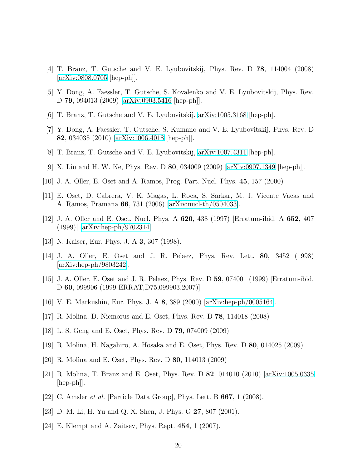- <span id="page-19-0"></span>[4] T. Branz, T. Gutsche and V. E. Lyubovitskij, Phys. Rev. D 78, 114004 (2008) [\[arXiv:0808.0705](http://arxiv.org/abs/0808.0705) [hep-ph]].
- <span id="page-19-1"></span>[5] Y. Dong, A. Faessler, T. Gutsche, S. Kovalenko and V. E. Lyubovitskij, Phys. Rev. D 79, 094013 (2009) [\[arXiv:0903.5416](http://arxiv.org/abs/0903.5416) [hep-ph]].
- <span id="page-19-2"></span>[6] T. Branz, T. Gutsche and V. E. Lyubovitskij, [arXiv:1005.3168](http://arxiv.org/abs/1005.3168) [hep-ph].
- <span id="page-19-3"></span>[7] Y. Dong, A. Faessler, T. Gutsche, S. Kumano and V. E. Lyubovitskij, Phys. Rev. D 82, 034035 (2010) [\[arXiv:1006.4018](http://arxiv.org/abs/1006.4018) [hep-ph]].
- <span id="page-19-4"></span>[8] T. Branz, T. Gutsche and V. E. Lyubovitskij, [arXiv:1007.4311](http://arxiv.org/abs/1007.4311) [hep-ph].
- <span id="page-19-5"></span>[9] X. Liu and H. W. Ke, Phys. Rev. D 80, 034009 (2009) [\[arXiv:0907.1349](http://arxiv.org/abs/0907.1349) [hep-ph]].
- <span id="page-19-6"></span>[10] J. A. Oller, E. Oset and A. Ramos, Prog. Part. Nucl. Phys. 45, 157 (2000)
- <span id="page-19-7"></span>[11] E. Oset, D. Cabrera, V. K. Magas, L. Roca, S. Sarkar, M. J. Vicente Vacas and A. Ramos, Pramana 66, 731 (2006) [\[arXiv:nucl-th/0504033\]](http://arxiv.org/abs/nucl-th/0504033).
- <span id="page-19-8"></span>[12] J. A. Oller and E. Oset, Nucl. Phys. A 620, 438 (1997) [Erratum-ibid. A 652, 407 (1999)] [\[arXiv:hep-ph/9702314\]](http://arxiv.org/abs/hep-ph/9702314).
- <span id="page-19-9"></span>[13] N. Kaiser, Eur. Phys. J. A **3**, 307 (1998).
- <span id="page-19-10"></span>[14] J. A. Oller, E. Oset and J. R. Pelaez, Phys. Rev. Lett. 80, 3452 (1998) [\[arXiv:hep-ph/9803242\]](http://arxiv.org/abs/hep-ph/9803242).
- <span id="page-19-11"></span>[15] J. A. Oller, E. Oset and J. R. Pelaez, Phys. Rev. D 59, 074001 (1999) [Erratum-ibid. D 60, 099906 (1999 ERRAT,D75,099903.2007)]
- <span id="page-19-12"></span>[16] V. E. Markushin, Eur. Phys. J. A 8, 389 (2000) [\[arXiv:hep-ph/0005164\]](http://arxiv.org/abs/hep-ph/0005164).
- <span id="page-19-13"></span>[17] R. Molina, D. Nicmorus and E. Oset, Phys. Rev. D 78, 114018 (2008)
- <span id="page-19-14"></span>[18] L. S. Geng and E. Oset, Phys. Rev. D 79, 074009 (2009)
- <span id="page-19-15"></span>[19] R. Molina, H. Nagahiro, A. Hosaka and E. Oset, Phys. Rev. D 80, 014025 (2009)
- <span id="page-19-16"></span>[20] R. Molina and E. Oset, Phys. Rev. D 80, 114013 (2009)
- <span id="page-19-17"></span>[21] R. Molina, T. Branz and E. Oset, Phys. Rev. D 82, 014010 (2010) [\[arXiv:1005.0335](http://arxiv.org/abs/1005.0335) [hep-ph]].
- <span id="page-19-18"></span>[22] C. Amsler *et al.* [Particle Data Group], Phys. Lett. B 667, 1 (2008).
- <span id="page-19-19"></span>[23] D. M. Li, H. Yu and Q. X. Shen, J. Phys. G 27, 807 (2001).
- <span id="page-19-20"></span>[24] E. Klempt and A. Zaitsev, Phys. Rept. 454, 1 (2007).